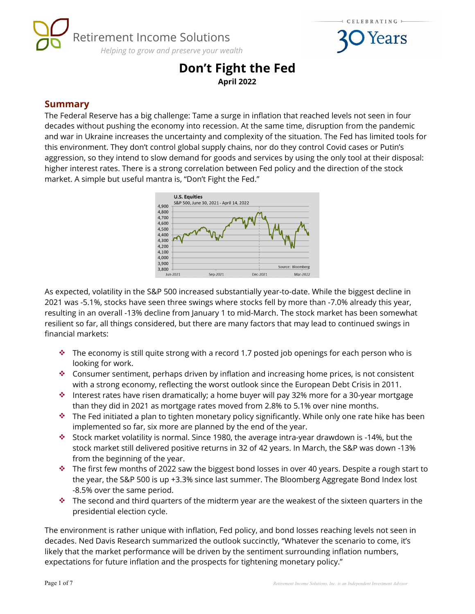



# **Don't Fight the Fed April 2022**

### **Summary**

The Federal Reserve has a big challenge: Tame a surge in inflation that reached levels not seen in four decades without pushing the economy into recession. At the same time, disruption from the pandemic and war in Ukraine increases the uncertainty and complexity of the situation. The Fed has limited tools for this environment. They don't control global supply chains, nor do they control Covid cases or Putin's aggression, so they intend to slow demand for goods and services by using the only tool at their disposal: higher interest rates. There is a strong correlation between Fed policy and the direction of the stock market. A simple but useful mantra is, "Don't Fight the Fed."



As expected, volatility in the S&P 500 increased substantially year-to-date. While the biggest decline in 2021 was -5.1%, stocks have seen three swings where stocks fell by more than -7.0% already this year, resulting in an overall -13% decline from January 1 to mid-March. The stock market has been somewhat resilient so far, all things considered, but there are many factors that may lead to continued swings in financial markets:

- $\cdot$  The economy is still quite strong with a record 1.7 posted job openings for each person who is looking for work.
- **Consumer sentiment, perhaps driven by inflation and increasing home prices, is not consistent** with a strong economy, reflecting the worst outlook since the European Debt Crisis in 2011.
- Interest rates have risen dramatically; a home buyer will pay 32% more for a 30-year mortgage than they did in 2021 as mortgage rates moved from 2.8% to 5.1% over nine months.
- $\cdot \cdot$  The Fed initiated a plan to tighten monetary policy significantly. While only one rate hike has been implemented so far, six more are planned by the end of the year.
- Stock market volatility is normal. Since 1980, the average intra-year drawdown is -14%, but the stock market still delivered positive returns in 32 of 42 years. In March, the S&P was down -13% from the beginning of the year.
- \* The first few months of 2022 saw the biggest bond losses in over 40 years. Despite a rough start to the year, the S&P 500 is up +3.3% since last summer. The Bloomberg Aggregate Bond Index lost -8.5% over the same period.
- $\cdot \cdot$  The second and third quarters of the midterm year are the weakest of the sixteen quarters in the presidential election cycle.

The environment is rather unique with inflation, Fed policy, and bond losses reaching levels not seen in decades. Ned Davis Research summarized the outlook succinctly, "Whatever the scenario to come, it's likely that the market performance will be driven by the sentiment surrounding inflation numbers, expectations for future inflation and the prospects for tightening monetary policy."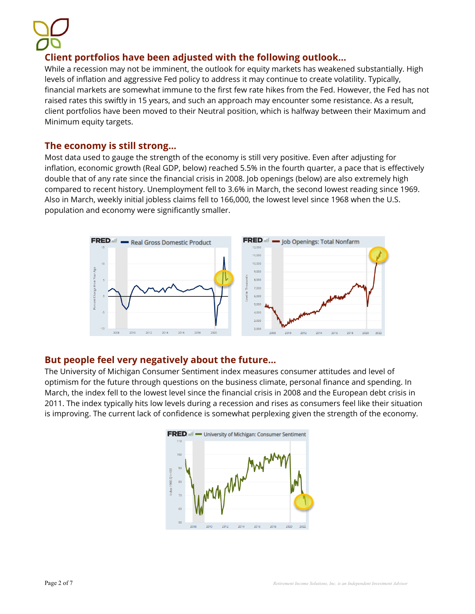# **Client portfolios have been adjusted with the following outlook…**

While a recession may not be imminent, the outlook for equity markets has weakened substantially. High levels of inflation and aggressive Fed policy to address it may continue to create volatility. Typically, financial markets are somewhat immune to the first few rate hikes from the Fed. However, the Fed has not raised rates this swiftly in 15 years, and such an approach may encounter some resistance. As a result, client portfolios have been moved to their Neutral position, which is halfway between their Maximum and Minimum equity targets.

#### **The economy is still strong…**

Most data used to gauge the strength of the economy is still very positive. Even after adjusting for inflation, economic growth (Real GDP, below) reached 5.5% in the fourth quarter, a pace that is effectively double that of any rate since the financial crisis in 2008. Job openings (below) are also extremely high compared to recent history. Unemployment fell to 3.6% in March, the second lowest reading since 1969. Also in March, weekly initial jobless claims fell to 166,000, the lowest level since 1968 when the U.S. population and economy were significantly smaller.



### **But people feel very negatively about the future…**

The University of Michigan Consumer Sentiment index measures consumer attitudes and level of optimism for the future through questions on the business climate, personal finance and spending. In March, the index fell to the lowest level since the financial crisis in 2008 and the European debt crisis in 2011. The index typically hits low levels during a recession and rises as consumers feel like their situation is improving. The current lack of confidence is somewhat perplexing given the strength of the economy.

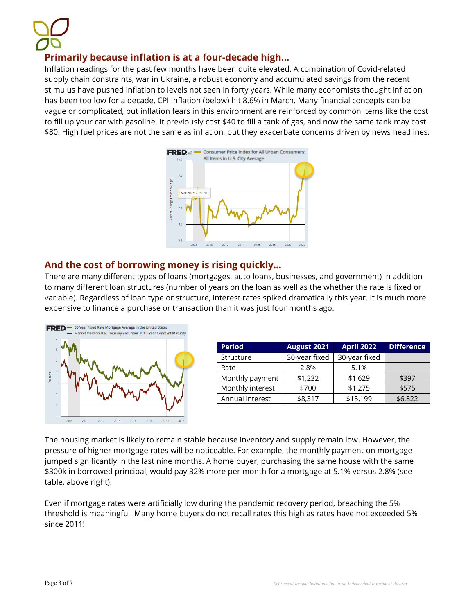# **Primarily because inflation is at a four-decade high…**

Inflation readings for the past few months have been quite elevated. A combination of Covid-related supply chain constraints, war in Ukraine, a robust economy and accumulated savings from the recent stimulus have pushed inflation to levels not seen in forty years. While many economists thought inflation has been too low for a decade, CPI inflation (below) hit 8.6% in March. Many financial concepts can be vague or complicated, but inflation fears in this environment are reinforced by common items like the cost to fill up your car with gasoline. It previously cost \$40 to fill a tank of gas, and now the same tank may cost \$80. High fuel prices are not the same as inflation, but they exacerbate concerns driven by news headlines.



### **And the cost of borrowing money is rising quickly…**

There are many different types of loans (mortgages, auto loans, businesses, and government) in addition to many different loan structures (number of years on the loan as well as the whether the rate is fixed or variable). Regardless of loan type or structure, interest rates spiked dramatically this year. It is much more expensive to finance a purchase or transaction than it was just four months ago.



| <b>Period</b>    | <b>April 2022</b><br>August 2021 |               | <b>Difference</b> |  |
|------------------|----------------------------------|---------------|-------------------|--|
| Structure        | 30-year fixed                    | 30-year fixed |                   |  |
| Rate             | 2.8%                             | 5.1%          |                   |  |
| Monthly payment  | \$1,232                          | \$1,629       | \$397             |  |
| Monthly interest | \$700                            | \$1,275       | \$575             |  |
| Annual interest  | \$8,317                          | \$15,199      | \$6,822           |  |

The housing market is likely to remain stable because inventory and supply remain low. However, the pressure of higher mortgage rates will be noticeable. For example, the monthly payment on mortgage jumped significantly in the last nine months. A home buyer, purchasing the same house with the same \$300k in borrowed principal, would pay 32% more per month for a mortgage at 5.1% versus 2.8% (see table, above right).

Even if mortgage rates were artificially low during the pandemic recovery period, breaching the 5% threshold is meaningful. Many home buyers do not recall rates this high as rates have not exceeded 5% since 2011!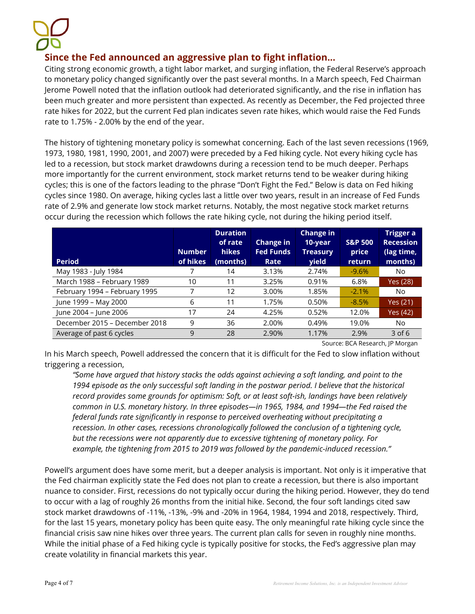# **Since the Fed announced an aggressive plan to fight inflation…**

Citing strong economic growth, a tight labor market, and surging inflation, the Federal Reserve's approach to monetary policy changed significantly over the past several months. In a March speech, Fed Chairman Jerome Powell noted that the inflation outlook had deteriorated significantly, and the rise in inflation has been much greater and more persistent than expected. As recently as December, the Fed projected three rate hikes for 2022, but the current Fed plan indicates seven rate hikes, which would raise the Fed Funds rate to 1.75% - 2.00% by the end of the year.

The history of tightening monetary policy is somewhat concerning. Each of the last seven recessions (1969, 1973, 1980, 1981, 1990, 2001, and 2007) were preceded by a Fed hiking cycle. Not every hiking cycle has led to a recession, but stock market drawdowns during a recession tend to be much deeper. Perhaps more importantly for the current environment, stock market returns tend to be weaker during hiking cycles; this is one of the factors leading to the phrase "Don't Fight the Fed." Below is data on Fed hiking cycles since 1980. On average, hiking cycles last a little over two years, result in an increase of Fed Funds rate of 2.9% and generate low stock market returns. Notably, the most negative stock market returns occur during the recession which follows the rate hiking cycle, not during the hiking period itself.

| <b>Period</b>                 | <b>Number</b><br>of hikes | <b>Duration</b><br>of rate<br><b>hikes</b><br>(months) | <b>Change in</b><br><b>Fed Funds</b><br>Rate | <b>Change in</b><br>10-year<br><b>Treasury</b><br><b>yield</b> | <b>S&amp;P 500</b><br>price<br><b>return</b> | Trigger a<br><b>Recession</b><br>(lag time,<br>months) |
|-------------------------------|---------------------------|--------------------------------------------------------|----------------------------------------------|----------------------------------------------------------------|----------------------------------------------|--------------------------------------------------------|
| May 1983 - July 1984          |                           | 14                                                     | 3.13%                                        | 2.74%                                                          | $-9.6%$                                      | No.                                                    |
| March 1988 - February 1989    | 10                        | 11                                                     | 3.25%                                        | 0.91%                                                          | 6.8%                                         | Yes (28)                                               |
| February 1994 - February 1995 |                           | 12                                                     | 3.00%                                        | 1.85%                                                          | $-2.1%$                                      | No.                                                    |
| June 1999 - May 2000          | 6                         | 11                                                     | 1.75%                                        | 0.50%                                                          | $-8.5%$                                      | Yes (21)                                               |
| June 2004 - June 2006         | 17                        | 24                                                     | 4.25%                                        | 0.52%                                                          | 12.0%                                        | Yes (42)                                               |
| December 2015 - December 2018 | 9                         | 36                                                     | 2.00%                                        | 0.49%                                                          | 19.0%                                        | No.                                                    |
| Average of past 6 cycles      | 9                         | 28                                                     | 2.90%                                        | 1.17%                                                          | 2.9%                                         | $3$ of 6                                               |

Source: BCA Research, JP Morgan

In his March speech, Powell addressed the concern that it is difficult for the Fed to slow inflation without triggering a recession,

*"Some have argued that history stacks the odds against achieving a soft landing, and point to the*  1994 episode as the only successful soft landing in the postwar period. I believe that the historical *record provides some grounds for optimism: Soft, or at least soft-ish, landings have been relatively common in U.S. monetary history. In three episodes—in 1965, 1984, and 1994—the Fed raised the federal funds rate significantly in response to perceived overheating without precipitating a recession. In other cases, recessions chronologically followed the conclusion of a tightening cycle, but the recessions were not apparently due to excessive tightening of monetary policy. For example, the tightening from 2015 to 2019 was followed by the pandemic-induced recession."*

Powell's argument does have some merit, but a deeper analysis is important. Not only is it imperative that the Fed chairman explicitly state the Fed does not plan to create a recession, but there is also important nuance to consider. First, recessions do not typically occur during the hiking period. However, they do tend to occur with a lag of roughly 26 months from the initial hike. Second, the four soft landings cited saw stock market drawdowns of -11%, -13%, -9% and -20% in 1964, 1984, 1994 and 2018, respectively. Third, for the last 15 years, monetary policy has been quite easy. The only meaningful rate hiking cycle since the financial crisis saw nine hikes over three years. The current plan calls for seven in roughly nine months. While the initial phase of a Fed hiking cycle is typically positive for stocks, the Fed's aggressive plan may create volatility in financial markets this year.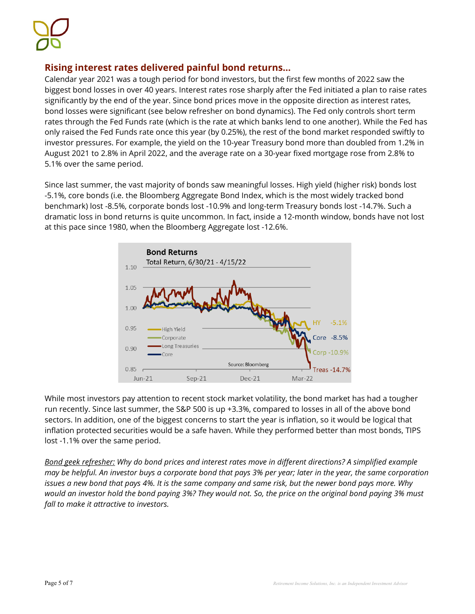### **Rising interest rates delivered painful bond returns…**

Calendar year 2021 was a tough period for bond investors, but the first few months of 2022 saw the biggest bond losses in over 40 years. Interest rates rose sharply after the Fed initiated a plan to raise rates significantly by the end of the year. Since bond prices move in the opposite direction as interest rates, bond losses were significant (see below refresher on bond dynamics). The Fed only controls short term rates through the Fed Funds rate (which is the rate at which banks lend to one another). While the Fed has only raised the Fed Funds rate once this year (by 0.25%), the rest of the bond market responded swiftly to investor pressures. For example, the yield on the 10-year Treasury bond more than doubled from 1.2% in August 2021 to 2.8% in April 2022, and the average rate on a 30-year fixed mortgage rose from 2.8% to 5.1% over the same period.

Since last summer, the vast majority of bonds saw meaningful losses. High yield (higher risk) bonds lost -5.1%, core bonds (i.e. the Bloomberg Aggregate Bond Index, which is the most widely tracked bond benchmark) lost -8.5%, corporate bonds lost -10.9% and long-term Treasury bonds lost -14.7%. Such a dramatic loss in bond returns is quite uncommon. In fact, inside a 12-month window, bonds have not lost at this pace since 1980, when the Bloomberg Aggregate lost -12.6%.



While most investors pay attention to recent stock market volatility, the bond market has had a tougher run recently. Since last summer, the S&P 500 is up +3.3%, compared to losses in all of the above bond sectors. In addition, one of the biggest concerns to start the year is inflation, so it would be logical that inflation protected securities would be a safe haven. While they performed better than most bonds, TIPS lost -1.1% over the same period.

*Bond geek refresher: Why do bond prices and interest rates move in different directions? A simplified example may be helpful. An investor buys a corporate bond that pays 3% per year; later in the year, the same corporation issues a new bond that pays 4%. It is the same company and same risk, but the newer bond pays more. Why would an investor hold the bond paying 3%? They would not. So, the price on the original bond paying 3% must fall to make it attractive to investors.*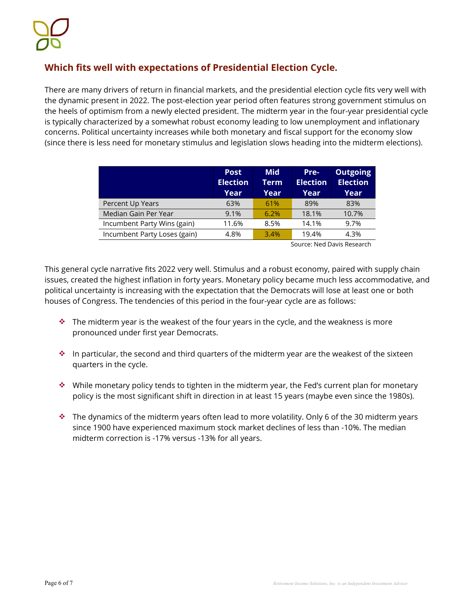# **Which fits well with expectations of Presidential Election Cycle.**

There are many drivers of return in financial markets, and the presidential election cycle fits very well with the dynamic present in 2022. The post-election year period often features strong government stimulus on the heels of optimism from a newly elected president. The midterm year in the four-year presidential cycle is typically characterized by a somewhat robust economy leading to low unemployment and inflationary concerns. Political uncertainty increases while both monetary and fiscal support for the economy slow (since there is less need for monetary stimulus and legislation slows heading into the midterm elections).

|                              | <b>Post</b><br><b>Election</b><br>Year | Mid<br>Term<br>Year | Pre-<br><b>Election</b><br>Year | <b>Outgoing</b><br><b>Election</b><br>Year |
|------------------------------|----------------------------------------|---------------------|---------------------------------|--------------------------------------------|
| Percent Up Years             | 63%                                    | 61%                 | 89%                             | 83%                                        |
| Median Gain Per Year         | 9.1%                                   | 6.2%                | 18.1%                           | 10.7%                                      |
| Incumbent Party Wins (gain)  | 11.6%                                  | 8.5%                | 14.1%                           | 9.7%                                       |
| Incumbent Party Loses (gain) | 4.8%                                   | 3.4%                | 19.4%                           | 4.3%                                       |

Source: Ned Davis Research

This general cycle narrative fits 2022 very well. Stimulus and a robust economy, paired with supply chain issues, created the highest inflation in forty years. Monetary policy became much less accommodative, and political uncertainty is increasing with the expectation that the Democrats will lose at least one or both houses of Congress. The tendencies of this period in the four-year cycle are as follows:

- $\cdot \cdot$  The midterm year is the weakest of the four years in the cycle, and the weakness is more pronounced under first year Democrats.
- $\cdot$  In particular, the second and third quarters of the midterm year are the weakest of the sixteen quarters in the cycle.
- \* While monetary policy tends to tighten in the midterm year, the Fed's current plan for monetary policy is the most significant shift in direction in at least 15 years (maybe even since the 1980s).
- $\cdot \cdot$  The dynamics of the midterm years often lead to more volatility. Only 6 of the 30 midterm years since 1900 have experienced maximum stock market declines of less than -10%. The median midterm correction is -17% versus -13% for all years.